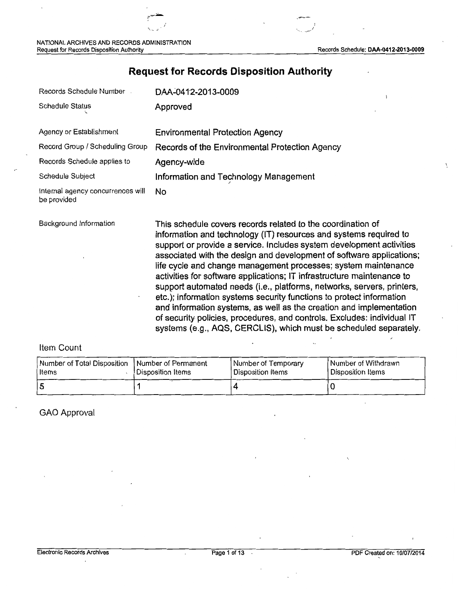/

 $\backslash$ 

# **Request for Records Disposition Authority**

| Records Schedule Number                          | DAA-0412-2013-0009                                                                                                                                                                                                                                                                                                                                                                                                                                                                                                                                                                                                                                                                                                                                                                                    |
|--------------------------------------------------|-------------------------------------------------------------------------------------------------------------------------------------------------------------------------------------------------------------------------------------------------------------------------------------------------------------------------------------------------------------------------------------------------------------------------------------------------------------------------------------------------------------------------------------------------------------------------------------------------------------------------------------------------------------------------------------------------------------------------------------------------------------------------------------------------------|
| <b>Schedule Status</b>                           | Approved                                                                                                                                                                                                                                                                                                                                                                                                                                                                                                                                                                                                                                                                                                                                                                                              |
| Agency or Establishment                          | <b>Environmental Protection Agency</b>                                                                                                                                                                                                                                                                                                                                                                                                                                                                                                                                                                                                                                                                                                                                                                |
| Record Group / Scheduling Group                  | Records of the Environmental Protection Agency                                                                                                                                                                                                                                                                                                                                                                                                                                                                                                                                                                                                                                                                                                                                                        |
| Records Schedule applies to                      | Agency-wide                                                                                                                                                                                                                                                                                                                                                                                                                                                                                                                                                                                                                                                                                                                                                                                           |
| Schedule Subject                                 | Information and Technology Management                                                                                                                                                                                                                                                                                                                                                                                                                                                                                                                                                                                                                                                                                                                                                                 |
| Internal agency concurrences will<br>be provided | No                                                                                                                                                                                                                                                                                                                                                                                                                                                                                                                                                                                                                                                                                                                                                                                                    |
| Background Information                           | This schedule covers records related to the coordination of<br>information and technology (IT) resources and systems required to<br>support or provide a service. Includes system development activities<br>associated with the design and development of software applications;<br>life cycle and change management processes; system maintenance<br>activities for software applications; IT infrastructure maintenance to<br>support automated needs (i.e., platforms, networks, servers, printers,<br>etc.); information systems security functions to protect information<br>and information systems, as well as the creation and implementation<br>of security policies, procedures, and controls. Excludes: individual IT<br>systems (e.g., AQS, CERCLIS), which must be scheduled separately. |

### Item Count

| Number of Total Disposition   Number of Permanent | l Disposition Items | Number of Temporary | Number of Withdrawn |
|---------------------------------------------------|---------------------|---------------------|---------------------|
| ltems                                             |                     | l Disposition Items | l Disposition Items |
|                                                   |                     |                     |                     |

GAO Approval

÷.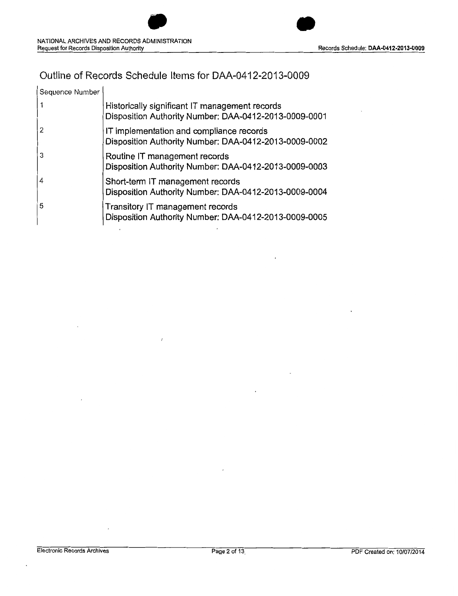

## Outline of Records Schedule Items for DM-0412-2013-0009

| Sequence Number |                                                                                                         |
|-----------------|---------------------------------------------------------------------------------------------------------|
|                 | Historically significant IT management records<br>Disposition Authority Number: DAA-0412-2013-0009-0001 |
|                 | IT implementation and compliance records<br>Disposition Authority Number: DAA-0412-2013-0009-0002       |
| 3               | Routine IT management records<br>Disposition Authority Number: DAA-0412-2013-0009-0003                  |
| 4               | Short-term IT management records<br>Disposition Authority Number: DAA-0412-2013-0009-0004               |
| 5               | Transitory IT management records<br>Disposition Authority Number: DAA-0412-2013-0009-0005               |

 $\prime$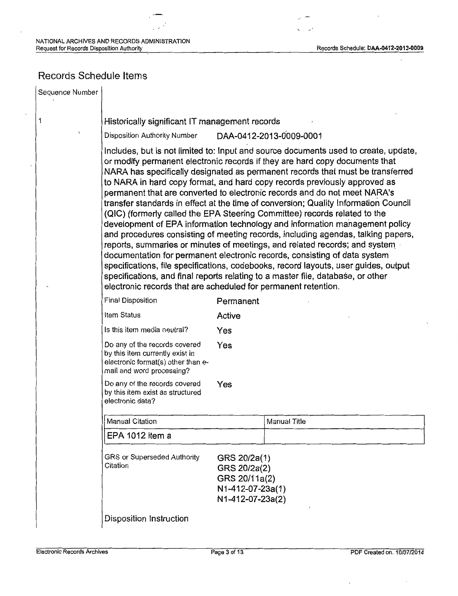## Records Schedule Items

Sequence Number

1

#### Historically significant IT management records

Disposition Authority Number **DM-0412-2013-O009-0001** 

Includes, but is not limited to: Input and source documents used to create, update, or modify permanent electronic records if they are hard copy documents that NARA has specifically designated as permanent records that must be transferred to NARA in hard copy format, and hard copy records previously approved as permanent that are converted to electronic records and do not meet NARA's transfer standards in effect at the time of conversion; Quality Information Council (QIC) (formerly called the EPA Steering Committee) records related to the development of EPA information technology and information management policy and procedures consisting of meeting records, including agendas, talking papers, reports, summaries or minutes of meetings, and related records; and system. documentation for permanent electronic records, consisting of data system specifications, file specifications, codebooks, record layouts, user guides, output specifications, and final reports relating to a master file, database, or other electronic records that are scheduled for permanent retention.

| Final Disposition                                                                                                                   | Permanent                                                         |              |
|-------------------------------------------------------------------------------------------------------------------------------------|-------------------------------------------------------------------|--------------|
| Item Status                                                                                                                         | Active                                                            |              |
| Is this item media neutral?                                                                                                         | Yes                                                               |              |
| Do any of the records covered<br>by this item currently exist in<br>electronic format(s) other than e-<br>mail and word processing? | Yes                                                               |              |
| Do any of the records covered<br>by this item exist as structured<br>electronic data?                                               | Yes                                                               |              |
| Manual Citation                                                                                                                     |                                                                   | Manual Title |
| EPA 1012 item a                                                                                                                     |                                                                   |              |
| GRS or Superseded Authority<br>Citation                                                                                             | GRS 20/2a(1)<br>GRS 20/2a(2)<br>GRS 20/11a(2)<br>N1-412-07-23a(1) |              |

Disposition Instruction

N 1-412-07-23a(2)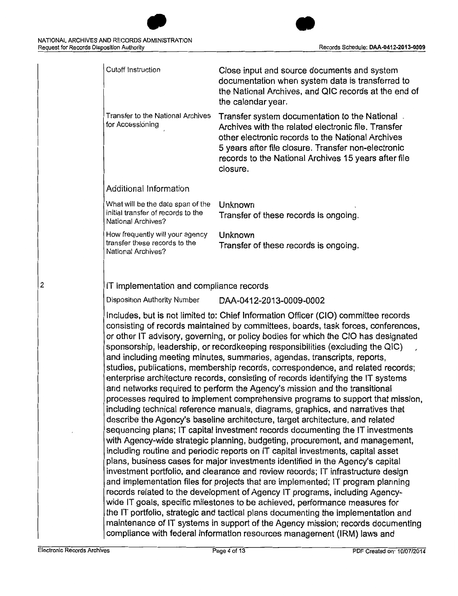| <b>Cutoff Instruction</b>                                                                     | Close input and source documents and system<br>documentation when system data is transferred to<br>the National Archives, and QIC records at the end of<br>the calendar year.                                                                                                                                                                                                                                                                                                                                                                                                                                                                                                                                                                                                                                                                                                                                                                                                                                                                                                                                                                                                                                                                                                                                                                                                                                                                         |
|-----------------------------------------------------------------------------------------------|-------------------------------------------------------------------------------------------------------------------------------------------------------------------------------------------------------------------------------------------------------------------------------------------------------------------------------------------------------------------------------------------------------------------------------------------------------------------------------------------------------------------------------------------------------------------------------------------------------------------------------------------------------------------------------------------------------------------------------------------------------------------------------------------------------------------------------------------------------------------------------------------------------------------------------------------------------------------------------------------------------------------------------------------------------------------------------------------------------------------------------------------------------------------------------------------------------------------------------------------------------------------------------------------------------------------------------------------------------------------------------------------------------------------------------------------------------|
| <b>Transfer to the National Archives</b><br>for Accessioning                                  | Transfer system documentation to the National.<br>Archives with the related electronic file. Transfer<br>other electronic records to the National Archives<br>5 years after file closure. Transfer non-electronic<br>records to the National Archives 15 years after file<br>closure.                                                                                                                                                                                                                                                                                                                                                                                                                                                                                                                                                                                                                                                                                                                                                                                                                                                                                                                                                                                                                                                                                                                                                                 |
| Additional Information                                                                        |                                                                                                                                                                                                                                                                                                                                                                                                                                                                                                                                                                                                                                                                                                                                                                                                                                                                                                                                                                                                                                                                                                                                                                                                                                                                                                                                                                                                                                                       |
| What will be the date span of the<br>initial transfer of records to the<br>National Archives? | Unknown<br>Transfer of these records is ongoing.                                                                                                                                                                                                                                                                                                                                                                                                                                                                                                                                                                                                                                                                                                                                                                                                                                                                                                                                                                                                                                                                                                                                                                                                                                                                                                                                                                                                      |
| How frequently will your agency<br>transfer these records to the<br>National Archives?        | Unknown<br>Transfer of these records is ongoing.                                                                                                                                                                                                                                                                                                                                                                                                                                                                                                                                                                                                                                                                                                                                                                                                                                                                                                                                                                                                                                                                                                                                                                                                                                                                                                                                                                                                      |
| Disposition Authority Number                                                                  | DAA-0412-2013-0009-0002                                                                                                                                                                                                                                                                                                                                                                                                                                                                                                                                                                                                                                                                                                                                                                                                                                                                                                                                                                                                                                                                                                                                                                                                                                                                                                                                                                                                                               |
|                                                                                               | Includes, but is not limited to: Chief Information Officer (CIO) committee records<br>consisting of records maintained by committees, boards, task forces, conferences,<br>or other IT advisory, governing, or policy bodies for which the CIO has designated<br>sponsorship, leadership, or recordkeeping responsibilities (excluding the QIC)<br>and including meeting minutes, summaries, agendas, transcripts, reports,<br>studies, publications, membership records, correspondence, and related records;<br>enterprise architecture records, consisting of records identifying the IT systems<br>and networks required to perform the Agency's mission and the transitional<br>processes required to implement comprehensive programs to support that mission,<br>including technical reference manuals, diagrams, graphics, and narratives that<br>describe the Agency's baseline architecture, target architecture, and related<br>sequencing plans; IT capital investment records documenting the IT investments<br>with Agency-wide strategic planning, budgeting, procurement, and management,<br>including routine and periodic reports on IT capital investments, capital asset<br>plans, business cases for major investments identified in the Agency's capital<br>investment portfolio, and clearance and review records; IT infrastructure design<br>and implementation files for projects that are implemented; IT program planning |
|                                                                                               | records related to the development of Agency IT programs, including Agency-<br>wide IT goals, specific milestones to be achieved, performance measures for<br>the IT portfolio, strategic and tactical plans documenting the implementation and<br>maintenance of IT systems in support of the Agency mission; records documenting<br>compliance with federal information resources management (IRM) laws and                                                                                                                                                                                                                                                                                                                                                                                                                                                                                                                                                                                                                                                                                                                                                                                                                                                                                                                                                                                                                                         |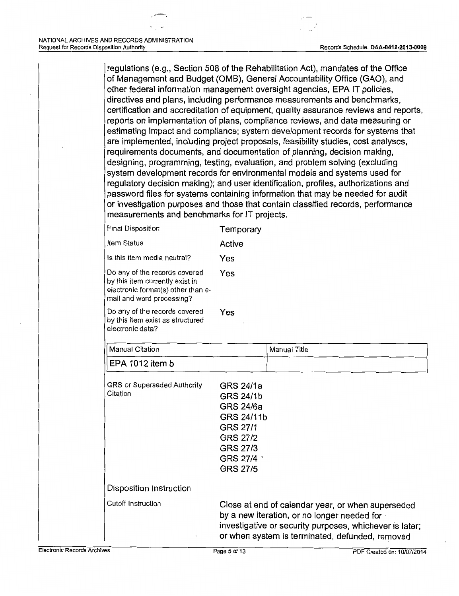regulations (e.g., Section 508 of the Rehabilitation Act), mandates of the Office of Management and Budget (0MB), General Accountability Office (GAO), and other federal information management oversight agencies, EPA IT policies, directives and plans, including performance measurements and benchmarks, certification and accreditation of equipment, quality assurance reviews and reports, reports on implementation of plans, compliance reviews, and data measuring or estimating impact and compliance; system development records for systems that are implemented, including project proposals, feasibility studies, cost analyses, requirements documents, and documentation of planning, decision making, designing, programming, testing, evaluation, and problem solving (excluding system development records for environmental models and systems used for regulatory decision making); and user identification, profiles, authorizations and password files for systems containing information that may be needed for audit or investigation purposes and those that contain classified records, performance measurements and benchmarks for IT projects.

| <b>Final Disposition</b>                                                                                                            | Temporary                                                                                                                                                                                                      |              |
|-------------------------------------------------------------------------------------------------------------------------------------|----------------------------------------------------------------------------------------------------------------------------------------------------------------------------------------------------------------|--------------|
| Item Status                                                                                                                         | Active                                                                                                                                                                                                         |              |
| Is this item media neutral?                                                                                                         | Yes                                                                                                                                                                                                            |              |
| Do any of the records covered<br>by this item currently exist in<br>electronic format(s) other than e-<br>mail and word processing? | Yes                                                                                                                                                                                                            |              |
| Do any of the records covered<br>by this item exist as structured<br>electronic data?                                               | Yes                                                                                                                                                                                                            |              |
| <b>Manual Citation</b>                                                                                                              |                                                                                                                                                                                                                | Manual Title |
| EPA 1012 item b                                                                                                                     |                                                                                                                                                                                                                |              |
| GRS or Superseded Authority<br>Citation                                                                                             | GRS 24/1a<br><b>GRS 24/1b</b><br><b>GRS 24/6a</b><br>GRS 24/11b<br><b>GRS 27/1</b><br><b>GRS 27/2</b><br><b>GRS 27/3</b><br>GRS 27/4 '<br><b>GRS 27/5</b>                                                      |              |
| Disposition Instruction                                                                                                             |                                                                                                                                                                                                                |              |
| <b>Cutoff Instruction</b>                                                                                                           | Close at end of calendar year, or when superseded<br>by a new iteration, or no longer needed for<br>investigative or security purposes, whichever is later;<br>or when system is terminated, defunded, removed |              |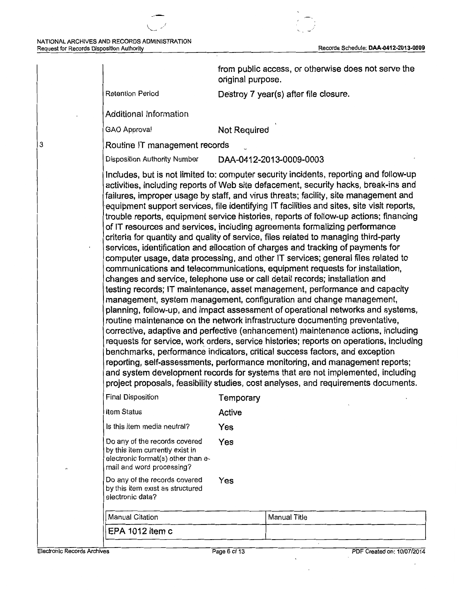|                                                                                                                                     | original purpose. | from public access, or otherwise does not serve the                                                                                                                                                                                                                                                                                                                                                                                                                                                                                                                                                                                                                                                                                                                                                                                                                                                                                                                                                                                                                                                                                                                                                                                                                                                                                                                                                                                                                                                                                                                                                                                                                                                                     |
|-------------------------------------------------------------------------------------------------------------------------------------|-------------------|-------------------------------------------------------------------------------------------------------------------------------------------------------------------------------------------------------------------------------------------------------------------------------------------------------------------------------------------------------------------------------------------------------------------------------------------------------------------------------------------------------------------------------------------------------------------------------------------------------------------------------------------------------------------------------------------------------------------------------------------------------------------------------------------------------------------------------------------------------------------------------------------------------------------------------------------------------------------------------------------------------------------------------------------------------------------------------------------------------------------------------------------------------------------------------------------------------------------------------------------------------------------------------------------------------------------------------------------------------------------------------------------------------------------------------------------------------------------------------------------------------------------------------------------------------------------------------------------------------------------------------------------------------------------------------------------------------------------------|
| <b>Retention Period</b>                                                                                                             |                   | Destroy 7 year(s) after file closure.                                                                                                                                                                                                                                                                                                                                                                                                                                                                                                                                                                                                                                                                                                                                                                                                                                                                                                                                                                                                                                                                                                                                                                                                                                                                                                                                                                                                                                                                                                                                                                                                                                                                                   |
| Additional Information                                                                                                              |                   |                                                                                                                                                                                                                                                                                                                                                                                                                                                                                                                                                                                                                                                                                                                                                                                                                                                                                                                                                                                                                                                                                                                                                                                                                                                                                                                                                                                                                                                                                                                                                                                                                                                                                                                         |
| <b>GAO Approval</b>                                                                                                                 | Not Required      |                                                                                                                                                                                                                                                                                                                                                                                                                                                                                                                                                                                                                                                                                                                                                                                                                                                                                                                                                                                                                                                                                                                                                                                                                                                                                                                                                                                                                                                                                                                                                                                                                                                                                                                         |
| Routine IT management records                                                                                                       |                   |                                                                                                                                                                                                                                                                                                                                                                                                                                                                                                                                                                                                                                                                                                                                                                                                                                                                                                                                                                                                                                                                                                                                                                                                                                                                                                                                                                                                                                                                                                                                                                                                                                                                                                                         |
| Disposition Authority Number                                                                                                        |                   | DAA-0412-2013-0009-0003                                                                                                                                                                                                                                                                                                                                                                                                                                                                                                                                                                                                                                                                                                                                                                                                                                                                                                                                                                                                                                                                                                                                                                                                                                                                                                                                                                                                                                                                                                                                                                                                                                                                                                 |
|                                                                                                                                     |                   | activities, including reports of Web site defacement, security hacks, break-ins and<br>failures, improper usage by staff, and virus threats; facility, site management and<br>equipment support services, file identifying IT facilities and sites, site visit reports,<br>trouble reports, equipment service histories, reports of follow-up actions; financing<br>of IT resources and services, including agreements formalizing performance<br>criteria for quantity and quality of service, files related to managing third-party<br>services, identification and allocation of charges and tracking of payments for<br>computer usage, data processing, and other IT services; general files related to<br>communications and telecommunications, equipment requests for installation,<br>changes and service, telephone use or call detail records; installation and<br>testing records; IT maintenance, asset management, performance and capacity<br>management, system management, configuration and change management,<br>planning, follow-up, and impact assessment of operational networks and systems,<br>routine maintenance on the network infrastructure documenting preventative,<br>corrective, adaptive and perfective (enhancement) maintenance actions, including<br>requests for service, work orders, service histories; reports on operations, including<br>benchmarks, performance indicators, critical success factors, and exception<br>reporting, self-assessments, performance monitoring, and management reports;<br>and system development records for systems that are not implemented, including<br>project proposals, feasibility studies, cost analyses, and requirements documents. |
| <b>Final Disposition</b>                                                                                                            | Temporary         |                                                                                                                                                                                                                                                                                                                                                                                                                                                                                                                                                                                                                                                                                                                                                                                                                                                                                                                                                                                                                                                                                                                                                                                                                                                                                                                                                                                                                                                                                                                                                                                                                                                                                                                         |
| Item Status                                                                                                                         | <b>Active</b>     |                                                                                                                                                                                                                                                                                                                                                                                                                                                                                                                                                                                                                                                                                                                                                                                                                                                                                                                                                                                                                                                                                                                                                                                                                                                                                                                                                                                                                                                                                                                                                                                                                                                                                                                         |
| Is this item media neutral?                                                                                                         | Yes               |                                                                                                                                                                                                                                                                                                                                                                                                                                                                                                                                                                                                                                                                                                                                                                                                                                                                                                                                                                                                                                                                                                                                                                                                                                                                                                                                                                                                                                                                                                                                                                                                                                                                                                                         |
| Do any of the records covered<br>by this item currently exist in<br>electronic format(s) other than e-<br>mail and word processing? | Yes               |                                                                                                                                                                                                                                                                                                                                                                                                                                                                                                                                                                                                                                                                                                                                                                                                                                                                                                                                                                                                                                                                                                                                                                                                                                                                                                                                                                                                                                                                                                                                                                                                                                                                                                                         |
| Do any of the records covered<br>by this item exist as structured<br>electronic data?                                               | Yes               |                                                                                                                                                                                                                                                                                                                                                                                                                                                                                                                                                                                                                                                                                                                                                                                                                                                                                                                                                                                                                                                                                                                                                                                                                                                                                                                                                                                                                                                                                                                                                                                                                                                                                                                         |
| Manual Citation                                                                                                                     |                   | <b>Manual Title</b>                                                                                                                                                                                                                                                                                                                                                                                                                                                                                                                                                                                                                                                                                                                                                                                                                                                                                                                                                                                                                                                                                                                                                                                                                                                                                                                                                                                                                                                                                                                                                                                                                                                                                                     |
| EPA 1012 item c                                                                                                                     |                   |                                                                                                                                                                                                                                                                                                                                                                                                                                                                                                                                                                                                                                                                                                                                                                                                                                                                                                                                                                                                                                                                                                                                                                                                                                                                                                                                                                                                                                                                                                                                                                                                                                                                                                                         |

Electronic Records Archives **Page 6** of 13 Page 6 of 13 PDF Created on: 10/07/2014

÷.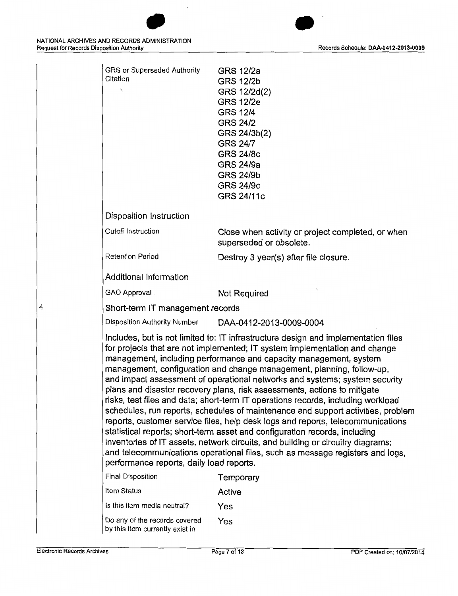

| Final Disposition                                                | Temporary |
|------------------------------------------------------------------|-----------|
| Item Status                                                      | Active    |
| Is this item media neutral?                                      | Yes       |
| Do any of the records covered<br>by this item currently exist in | Yes       |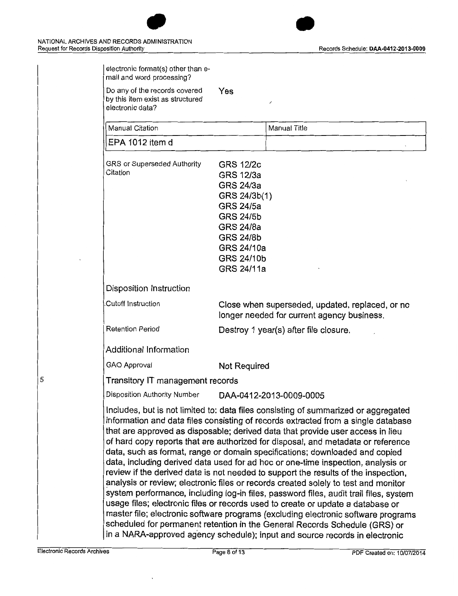

| by this item exist as structured<br>electronic data?                        | ノ                                                                                                                                                                                                                                                                                                                                                                                                                                                                                                                                                                                                                                                                                                                                                                                                                                                                                                                                                                                                                                           |
|-----------------------------------------------------------------------------|---------------------------------------------------------------------------------------------------------------------------------------------------------------------------------------------------------------------------------------------------------------------------------------------------------------------------------------------------------------------------------------------------------------------------------------------------------------------------------------------------------------------------------------------------------------------------------------------------------------------------------------------------------------------------------------------------------------------------------------------------------------------------------------------------------------------------------------------------------------------------------------------------------------------------------------------------------------------------------------------------------------------------------------------|
| <b>Manual Citation</b>                                                      | <b>Manual Title</b>                                                                                                                                                                                                                                                                                                                                                                                                                                                                                                                                                                                                                                                                                                                                                                                                                                                                                                                                                                                                                         |
| EPA 1012 item d                                                             |                                                                                                                                                                                                                                                                                                                                                                                                                                                                                                                                                                                                                                                                                                                                                                                                                                                                                                                                                                                                                                             |
| GRS or Superseded Authority<br>Citation                                     | <b>GRS 12/2c</b><br>GRS 12/3a<br>GRS 24/3a<br>GRS 24/3b(1)<br><b>GRS 24/5a</b><br><b>GRS 24/5b</b><br><b>GRS 24/8a</b><br><b>GRS 24/8b</b><br>GRS 24/10a<br>GRS 24/10b<br>GRS 24/11a                                                                                                                                                                                                                                                                                                                                                                                                                                                                                                                                                                                                                                                                                                                                                                                                                                                        |
| Disposition Instruction                                                     |                                                                                                                                                                                                                                                                                                                                                                                                                                                                                                                                                                                                                                                                                                                                                                                                                                                                                                                                                                                                                                             |
| Cutoff Instruction                                                          | Close when superseded, updated, replaced, or no<br>longer needed for current agency business.                                                                                                                                                                                                                                                                                                                                                                                                                                                                                                                                                                                                                                                                                                                                                                                                                                                                                                                                               |
| Retention Period                                                            | Destroy 1 year(s) after file closure.                                                                                                                                                                                                                                                                                                                                                                                                                                                                                                                                                                                                                                                                                                                                                                                                                                                                                                                                                                                                       |
| Additional Information                                                      |                                                                                                                                                                                                                                                                                                                                                                                                                                                                                                                                                                                                                                                                                                                                                                                                                                                                                                                                                                                                                                             |
| <b>GAO Approval</b>                                                         | Not Required                                                                                                                                                                                                                                                                                                                                                                                                                                                                                                                                                                                                                                                                                                                                                                                                                                                                                                                                                                                                                                |
| Transitory IT management records                                            |                                                                                                                                                                                                                                                                                                                                                                                                                                                                                                                                                                                                                                                                                                                                                                                                                                                                                                                                                                                                                                             |
| Disposition Authority Number                                                | DAA-0412-2013-0009-0005                                                                                                                                                                                                                                                                                                                                                                                                                                                                                                                                                                                                                                                                                                                                                                                                                                                                                                                                                                                                                     |
| in a NARA-approved agency schedule); input and source records in electronic | Includes, but is not limited to: data files consisting of summarized or aggregated<br>information and data files consisting of records extracted from a single database<br>that are approved as disposable; derived data that provide user access in lieu<br>of hard copy reports that are authorized for disposal, and metadata or reference<br>data, such as format, range or domain specifications; downloaded and copied<br>data, including derived data used for ad hoc or one-time inspection, analysis or<br>review if the derived data is not needed to support the results of the inspection,<br>analysis or review; electronic files or records created solely to test and monitor<br>system performance, including log-in files, password files, audit trail files, system<br>usage files; electronic files or records used to create or update a database or<br>master file; electronic software programs (excluding electronic software programs<br>scheduled for permanent retention in the General Records Schedule (GRS) or |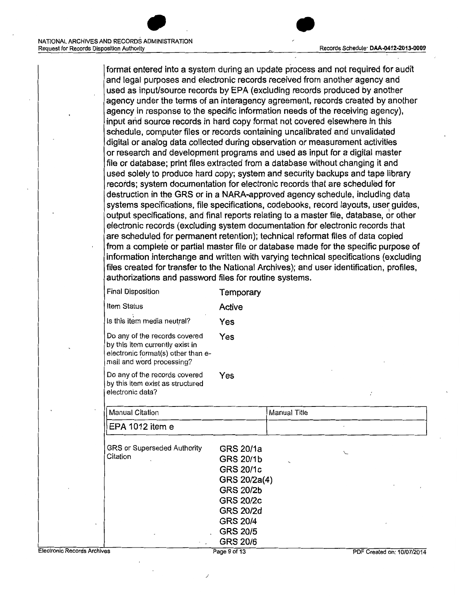#### Records Schedule· **DAA-0412-2013-0009**

format entered into a system during an update process and not required for audit and legal purposes and electronic records received from another agency and used as input/source records by EPA (excluding records produced by another agency under the terms of an interagency agreement, records created by another agency in response to the specific information needs of the receiving agency), input and source records in hard copy format not covered elsewhere in this schedule, computer files or records containing uncalibrated and unvalidated digital or analog data collected during observation or measurement activities or research and development programs and used as input for a digital master file or database; print files extracted from a database without changing it and used solely to produce hard copy; system and security backups and tape library records; system documentation for electronic records'that are scheduled for destruction in the GRS or in a NARA-approved agency schedule, including data systems specifications, file specifications, codebooks, record layouts, user guides, output specifications, and final reports relating to a master file, database, or other electronic records (excluding system documentation for electronic records that are scheduled for permanent retention); technical reformat files of data copied from a complete or partial master file or database made for the specific purpose of information interchange and written with varying technical specifications (excluding files created for transfer to the National Archives); and user identification, profiles, authorizations and password files for routine systems.

•

|                                    | <b>Final Disposition</b>                                                                                                            | Temporary                                                                                                                                                                              |              |                            |  |
|------------------------------------|-------------------------------------------------------------------------------------------------------------------------------------|----------------------------------------------------------------------------------------------------------------------------------------------------------------------------------------|--------------|----------------------------|--|
|                                    | Item Status                                                                                                                         | Active                                                                                                                                                                                 |              |                            |  |
|                                    | Is this item media neutral?                                                                                                         | Yes                                                                                                                                                                                    |              |                            |  |
|                                    | Do any of the records covered<br>by this item currently exist in<br>electronic format(s) other than e-<br>mail and word processing? | Yes                                                                                                                                                                                    |              |                            |  |
|                                    | Do any of the records covered<br>by this item exist as structured<br>electronic data?                                               | Yes                                                                                                                                                                                    |              | ŕ                          |  |
|                                    | <b>Manual Citation</b>                                                                                                              |                                                                                                                                                                                        | Manual Title |                            |  |
|                                    | EPA 1012 item e                                                                                                                     |                                                                                                                                                                                        |              |                            |  |
|                                    | GRS or Superseded Authority<br>Citation                                                                                             | GRS 20/1a<br><b>GRS 20/1b</b><br><b>GRS 20/1c</b><br>GRS 20/2a(4)<br><b>GRS 20/2b</b><br><b>GRS 20/2c</b><br><b>GRS 20/2d</b><br><b>GRS 20/4</b><br><b>GRS 20/5</b><br><b>GRS 20/6</b> |              | ╰                          |  |
| <b>Electronic Records Archives</b> |                                                                                                                                     | Page 9 of 13                                                                                                                                                                           |              | PDF Created on: 10/07/2014 |  |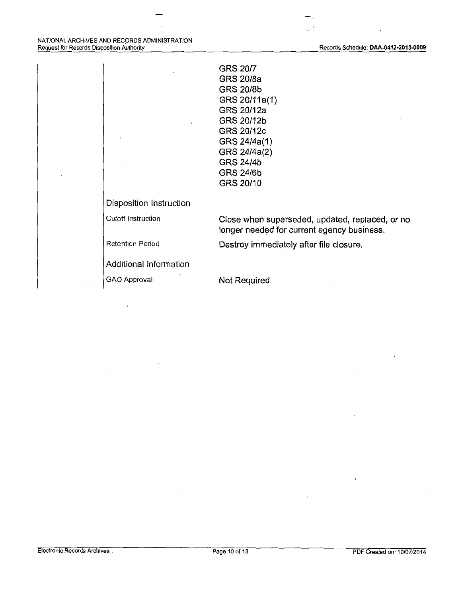$\overline{a}$ 

 $\mathbb{R}^{2n-1}$ 

| Disposition Instruction | <b>GRS 20/7</b><br><b>GRS 20/8a</b><br><b>GRS 20/8b</b><br>GRS 20/11a(1)<br>GRS 20/12a<br>GRS 20/12b<br>GRS 20/12c<br>GRS 24/4a(1)<br>GRS 24/4a(2)<br><b>GRS 24/4b</b><br><b>GRS 24/6b</b><br>GRS 20/10 |
|-------------------------|---------------------------------------------------------------------------------------------------------------------------------------------------------------------------------------------------------|
| Cutoff Instruction      |                                                                                                                                                                                                         |
|                         | Close when superseded, updated, replaced, or no<br>longer needed for current agency business.                                                                                                           |
| <b>Retention Period</b> | Destroy immediately after file closure.                                                                                                                                                                 |
| Additional Information  |                                                                                                                                                                                                         |
| GAO Approval            | Not Required                                                                                                                                                                                            |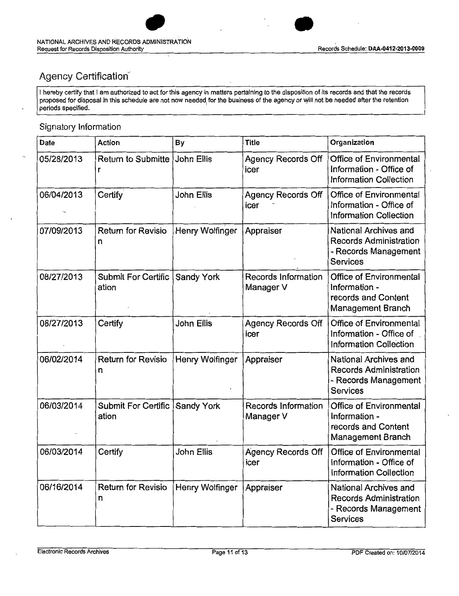

•

## Agency Certification

I hereby certify that I am authorized to act for this agency in matters pertaining to the disposition of its records and that the records proposed for disposal in this schedule are not now needed for the business of the agency or will not be needed after the retention periods specified.

## Signatory Information

| Date       | Action                         | By                | <b>Title</b>                      | Organization                                                                                      |
|------------|--------------------------------|-------------------|-----------------------------------|---------------------------------------------------------------------------------------------------|
| 05/28/2013 | Return to Submitte<br>r        | John Ellis        | <b>Agency Records Off</b><br>icer | Office of Environmental<br>Information - Office of<br><b>Information Collection</b>               |
| 06/04/2013 | Certify                        | John Ellis        | <b>Agency Records Off</b><br>icer | Office of Environmental<br>Information - Office of<br><b>Information Collection</b>               |
| 07/09/2013 | <b>Return for Revisio</b><br>n | Henry Wolfinger   | Appraiser                         | National Archives and<br><b>Records Administration</b><br>- Records Management<br><b>Services</b> |
| 08/27/2013 | Submit For Certific<br>ation   | <b>Sandy York</b> | Records Information<br>Manager V  | Office of Environmental<br>Information -<br>records and Content<br><b>Management Branch</b>       |
| 08/27/2013 | Certify                        | <b>John Ellis</b> | <b>Agency Records Off</b><br>icer | <b>Office of Environmental</b><br>Information - Office of<br><b>Information Collection</b>        |
| 06/02/2014 | <b>Return for Revisio</b><br>n | Henry Wolfinger   | Appraiser                         | National Archives and<br><b>Records Administration</b><br>- Records Management<br><b>Services</b> |
| 06/03/2014 | Submit For Certific<br>ation   | <b>Sandy York</b> | Records Information<br>Manager V  | Office of Environmental<br>Information -<br>records and Content<br>Management Branch              |
| 06/03/2014 | Certify                        | John Ellis        | <b>Agency Records Off</b><br>icer | Office of Environmental<br>Information - Office of<br><b>Information Collection</b>               |
| 06/16/2014 | <b>Return for Revisio</b><br>n | Henry Wolfinger   | Appraiser                         | National Archives and<br><b>Records Administration</b><br>- Records Management<br><b>Services</b> |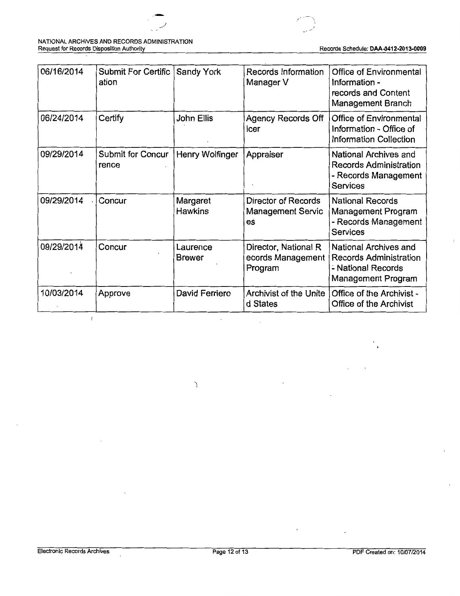

#### NATIONAL ARCHIVES AND RECORDS ADMINISTRATION Request for Records Disposition Authority Records Schedule: **DAA-0412-2013-0009**

| 06/16/2014 | Submit For Certific<br>ation | <b>Sandy York</b>          | Records Information<br>Manager V                      | <b>Office of Environmental</b><br>Information -<br>records and Content<br>Management Branch               |
|------------|------------------------------|----------------------------|-------------------------------------------------------|-----------------------------------------------------------------------------------------------------------|
| 06/24/2014 | Certify                      | John Ellis                 | <b>Agency Records Off</b><br>icer                     | Office of Environmental<br>Information - Office of<br><b>Information Collection</b>                       |
| 09/29/2014 | Submit for Concur<br>rence   | Henry Wolfinger            | Appraiser                                             | National Archives and<br><b>Records Administration</b><br>- Records Management<br>Services                |
| 09/29/2014 | Concur                       | Margaret<br><b>Hawkins</b> | Director of Records<br><b>Management Servic</b><br>eś | <b>National Records</b><br>Management Program<br>- Records Management<br>Services                         |
| 09/29/2014 | Concur                       | Laurence<br><b>Brewer</b>  | Director, National R<br>ecords Management<br>Program  | National Archives and<br><b>Records Administration</b><br>- National Records<br><b>Management Program</b> |
| 10/03/2014 | Approve                      | David Ferriero             | <b>Archivist of the Unite</b><br>d States             | Office of the Archivist -<br>Office of the Archivist                                                      |

 $\sum_{\lambda}$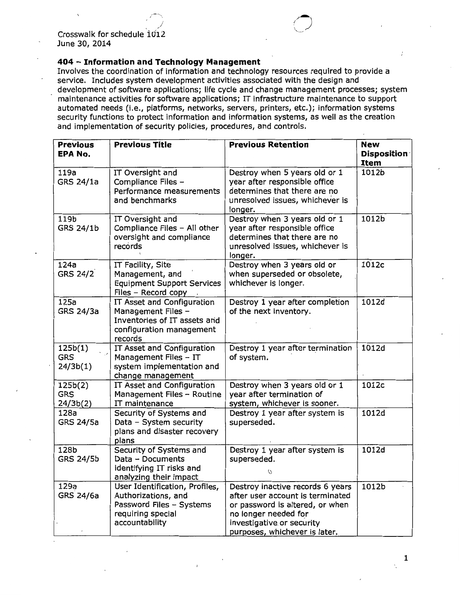### **404 - Information and Technology Management**

Involves the coordination of information and technology resources required to provide a service. Includes system development activities associated with the design and development of software applications; life cycle and change management processes; system maintenance activities for software applications; IT infrastructure maintenance to support automated needs (i.e., platforms, networks, servers, printers, etc.); information systems security functions to protect information and information systems, as well as the creation and implementation of security policies, procedures, and controls.

| <b>Previous</b><br><b>EPA No.</b> | <b>Previous Title</b>                                                                                                    | <b>Previous Retention</b>                                                                                                                                                                     | <b>New</b><br><b>Disposition</b> |
|-----------------------------------|--------------------------------------------------------------------------------------------------------------------------|-----------------------------------------------------------------------------------------------------------------------------------------------------------------------------------------------|----------------------------------|
|                                   |                                                                                                                          |                                                                                                                                                                                               | Item                             |
| 119a<br><b>GRS 24/1a</b>          | IT Oversight and<br>Compliance Files -<br>Performance measurements<br>and benchmarks                                     | Destroy when 5 years old or 1<br>year after responsible office<br>determines that there are no<br>unresolved issues, whichever is<br>longer.                                                  | 1012b                            |
| 119b<br>GRS 24/1b                 | IT Oversight and<br>Compliance Files - All other<br>oversight and compliance<br>records                                  | Destroy when 3 years old or 1<br>year after responsible office<br>determines that there are no<br>unresolved issues, whichever is<br>longer.                                                  | 1012b                            |
| 124a<br><b>GRS 24/2</b>           | IT Facility, Site<br>Management, and<br><b>Equipment Support Services</b><br>Files - Record copy                         | Destroy when 3 years old or<br>when superseded or obsolete,<br>whichever is longer.                                                                                                           | 1012c                            |
| 125a<br><b>GRS 24/3a</b>          | IT Asset and Configuration<br>Management Files -<br>Inventories of IT assets and<br>configuration management<br>records  | Destroy 1 year after completion<br>of the next inventory.                                                                                                                                     | 1012d                            |
| 125b(1)<br><b>GRS</b><br>24/3b(1) | IT Asset and Configuration<br>Management Files - IT<br>system implementation and<br>change management                    | Destroy 1 year after termination<br>of system.                                                                                                                                                | 1012d                            |
| 125b(2)<br><b>GRS</b><br>24/3b(2) | IT Asset and Configuration<br>Management Files - Routine<br>IT maintenance                                               | Destroy when 3 years old or 1<br>year after termination of<br>system, whichever is sooner.                                                                                                    | 1012c                            |
| 128a<br>GRS 24/5a                 | Security of Systems and<br>Data - System security<br>plans and disaster recovery<br>plans                                | Destroy 1 year after system is<br>superseded.                                                                                                                                                 | 1012d                            |
| 128b<br><b>GRS 24/5b</b>          | Security of Systems and<br>Data - Documents<br>identifying IT risks and<br>analyzing their impact                        | Destroy 1 year after system is<br>superseded.<br>O                                                                                                                                            | 1012d                            |
| 129a<br>GRS 24/6a                 | User Identification, Profiles,<br>Authorizations, and<br>Password Files - Systems<br>requiring special<br>accountability | Destroy inactive records 6 years<br>after user account is terminated<br>or password is altered, or when<br>no longer needed for<br>investigative or security<br>purposes, whichever is later. | 1012b                            |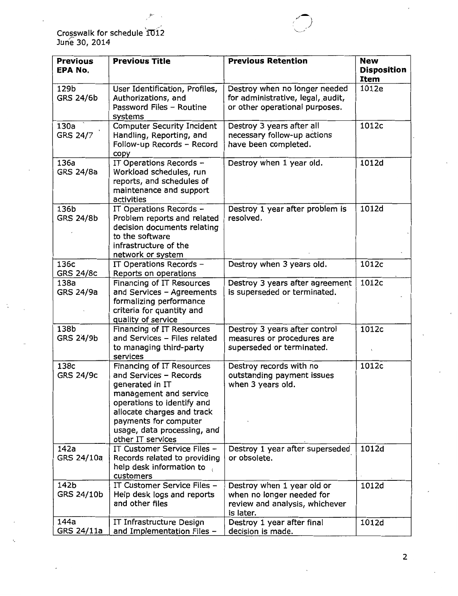Crosswalk for schedule 1012<br>June 30, 2014

Þ

| <b>Previous</b><br><b>EPA No.</b> | <b>Previous Title</b>                                                                                                                                                                                                                     | <b>Previous Retention</b>                                                                              | <b>New</b><br><b>Disposition</b><br><b>Item</b> |
|-----------------------------------|-------------------------------------------------------------------------------------------------------------------------------------------------------------------------------------------------------------------------------------------|--------------------------------------------------------------------------------------------------------|-------------------------------------------------|
| 129b<br><b>GRS 24/6b</b>          | User Identification, Profiles,<br>Authorizations, and<br>Password Files - Routine<br>systems                                                                                                                                              | Destroy when no longer needed<br>for administrative, legal, audit,<br>or other operational purposes.   | 1012e                                           |
| 130a<br><b>GRS 24/7</b>           | <b>Computer Security Incident</b><br>Handling, Reporting, and<br>Follow-up Records - Record<br>copy                                                                                                                                       | Destroy 3 years after all<br>necessary follow-up actions<br>have been completed.                       | 1012c                                           |
| 136a<br><b>GRS 24/8a</b>          | IT Operations Records -<br>Workload schedules, run<br>reports, and schedules of<br>maintenance and support<br>activities                                                                                                                  | Destroy when 1 year old.                                                                               | 1012d                                           |
| 136b<br><b>GRS 24/8b</b>          | IT Operations Records -<br>Problem reports and related<br>decision documents relating<br>to the software<br>infrastructure of the<br>network or system                                                                                    | Destroy 1 year after problem is<br>resolved.                                                           | 1012d                                           |
| 136c<br><b>GRS 24/8c</b>          | IT Operations Records -<br>Reports on operations                                                                                                                                                                                          | Destroy when 3 years old.                                                                              | 1012c                                           |
| 138a<br>GRS 24/9a                 | Financing of IT Resources<br>and Services - Agreements<br>formalizing performance<br>criteria for quantity and<br>quality of service                                                                                                      | Destroy 3 years after agreement<br>is superseded or terminated.                                        | 1012c                                           |
| 138b<br><b>GRS 24/9b</b>          | Financing of IT Resources<br>and Services - Files related<br>to managing third-party<br>services                                                                                                                                          | Destroy 3 years after control<br>measures or procedures are<br>superseded or terminated.               | 1012c<br>$\lambda$                              |
| 138c<br><b>GRS 24/9c</b>          | Financing of IT Resources<br>and Services - Records<br>generated in IT<br>management and service<br>operations to identify and<br>allocate charges and track<br>payments for computer<br>usage, data processing, and<br>other IT services | Destroy records with no<br>outstanding payment issues<br>when 3 years old.                             | 1012c                                           |
| 142a<br>GRS 24/10a                | IT Customer Service Files -<br>Records related to providing<br>help desk information to<br>customers                                                                                                                                      | Destroy 1 year after superseded<br>or obsolete.                                                        | 1012d                                           |
| 142b<br>GRS 24/10b                | IT Customer Service Files -<br>Help desk logs and reports<br>and other files                                                                                                                                                              | Destroy when 1 year old or<br>when no longer needed for<br>review and analysis, whichever<br>is later. | 1012d                                           |
| 144a<br>GRS 24/11a                | IT Infrastructure Design<br>and Implementation Files -                                                                                                                                                                                    | Destroy 1 year after final<br>decision is made.                                                        | 1012d                                           |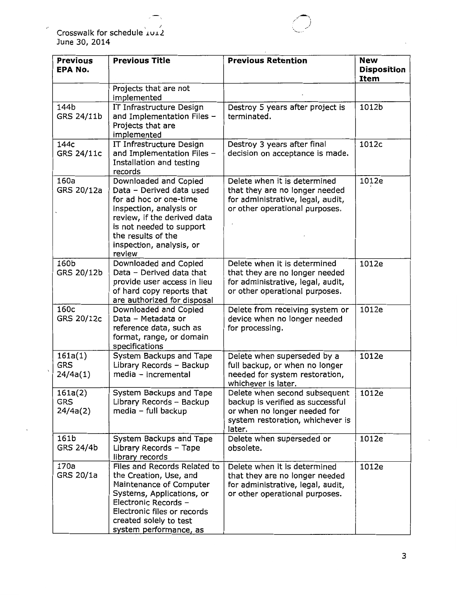Crosswalk for schedule  $\overline{\text{Lul2}}$ June 30, 2014

ł

| <b>Previous</b><br><b>EPA No.</b> | <b>Previous Title</b>                                                                                                                                                                                                         | <b>Previous Retention</b>                                                                                                                       | <b>New</b><br><b>Disposition</b><br>Item |
|-----------------------------------|-------------------------------------------------------------------------------------------------------------------------------------------------------------------------------------------------------------------------------|-------------------------------------------------------------------------------------------------------------------------------------------------|------------------------------------------|
|                                   | Projects that are not<br>implemented                                                                                                                                                                                          |                                                                                                                                                 |                                          |
| 144b<br>GRS 24/11b                | IT Infrastructure Design<br>and Implementation Files -<br>Projects that are<br>implemented                                                                                                                                    | Destroy 5 years after project is<br>terminated.                                                                                                 | 1012b                                    |
| 144c<br>GRS 24/11c                | IT Infrastructure Design<br>and Implementation Files -<br>Installation and testing<br>records                                                                                                                                 | Destroy 3 years after final<br>decision on acceptance is made.                                                                                  | 1012c                                    |
| 160a<br>GRS 20/12a                | Downloaded and Copied<br>Data - Derived data used<br>for ad hoc or one-time<br>inspection, analysis or<br>review, if the derived data<br>is not needed to support<br>the results of the<br>inspection, analysis, or<br>review | Delete when it is determined<br>that they are no longer needed<br>for administrative, legal, audit,<br>or other operational purposes.           | 1012e                                    |
| 160b<br>GRS 20/12b                | Downloaded and Copied<br>Data - Derived data that<br>provide user access in lieu<br>of hard copy reports that<br>are authorized for disposal                                                                                  | Delete when it is determined<br>that they are no longer needed<br>for administrative, legal, audit,<br>or other operational purposes.           | 1012e                                    |
| 160c<br>GRS 20/12c                | Downloaded and Copied<br>Data - Metadata or<br>reference data, such as<br>format, range, or domain<br>specifications                                                                                                          | Delete from receiving system or<br>device when no longer needed<br>for processing.                                                              | 1012e                                    |
| 161a(1)<br><b>GRS</b><br>24/4a(1) | System Backups and Tape<br>Library Records - Backup<br>media - incremental                                                                                                                                                    | Delete when superseded by a<br>full backup, or when no longer<br>needed for system restoration,<br>whichever is later.                          | 1012e                                    |
| 161a(2)<br><b>GRS</b><br>24/4a(2) | System Backups and Tape<br>Library Records - Backup<br>media - full backup                                                                                                                                                    | Delete when second subsequent<br>backup is verified as successful<br>or when no longer needed for<br>system restoration, whichever is<br>later. | 1012e                                    |
| 161b<br>GRS 24/4b                 | System Backups and Tape<br>Library Records - Tape<br>library records                                                                                                                                                          | Delete when superseded or<br>obsolete.                                                                                                          | 1012e                                    |
| 170a<br>GRS 20/1a                 | Files and Records Related to<br>the Creation, Use, and<br>Maintenance of Computer<br>Systems, Applications, or<br>Electronic Records -<br>Electronic files or records<br>created solely to test<br>system performance, as     | Delete when it is determined<br>that they are no longer needed<br>for administrative, legal, audit,<br>or other operational purposes.           | 1012e                                    |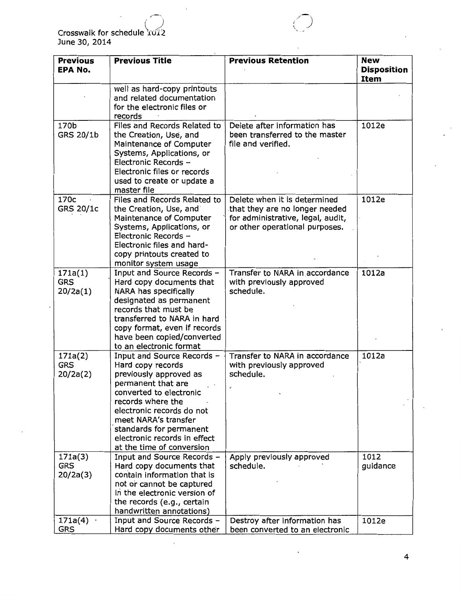Crosswalk for schedule*(d::z*  June 30, 2014

 $\cdot$   $\cdot$ 

| <b>Previous</b>                   | <b>Previous Title</b>                                                                                                                                                                                                                                                                        | <b>Previous Retention</b>                                                                                                             | <b>New</b>                        |
|-----------------------------------|----------------------------------------------------------------------------------------------------------------------------------------------------------------------------------------------------------------------------------------------------------------------------------------------|---------------------------------------------------------------------------------------------------------------------------------------|-----------------------------------|
| <b>EPANO.</b>                     |                                                                                                                                                                                                                                                                                              |                                                                                                                                       | <b>Disposition</b><br><b>Item</b> |
|                                   | well as hard-copy printouts<br>and related documentation<br>for the electronic files or<br>records                                                                                                                                                                                           |                                                                                                                                       |                                   |
| 170b<br>GRS 20/1b                 | Files and Records Related to<br>the Creation, Use, and<br>Maintenance of Computer<br>Systems, Applications, or<br>Electronic Records -<br>Electronic files or records<br>used to create or update a<br>master file                                                                           | Delete after information has<br>been transferred to the master<br>file and verified.                                                  | 1012e                             |
| 170c<br>GRS 20/1c                 | Files and Records Related to<br>the Creation, Use, and<br>Maintenance of Computer<br>Systems, Applications, or<br>Electronic Records -<br>Electronic files and hard-<br>copy printouts created to<br>monitor system usage                                                                    | Delete when it is determined<br>that they are no longer needed<br>for administrative, legal, audit,<br>or other operational purposes. | 1012e                             |
| 171a(1)<br><b>GRS</b><br>20/2a(1) | Input and Source Records -<br>Hard copy documents that<br>NARA has specifically<br>designated as permanent<br>records that must be<br>transferred to NARA in hard<br>copy format, even if records<br>have been copied/converted<br>to an electronic format                                   | Transfer to NARA in accordance<br>with previously approved<br>schedule.                                                               | 1012a                             |
| 171a(2)<br><b>GRS</b><br>20/2a(2) | Input and Source Records -<br>Hard copy records<br>previously approved as<br>permanent that are<br>converted to electronic<br>records where the<br>electronic records do not<br>meet NARA's transfer<br>standards for permanent<br>electronic records in effect<br>at the time of conversion | Transfer to NARA in accordance<br>with previously approved<br>schedule.                                                               | 1012a                             |
| 171a(3)<br><b>GRS</b><br>20/2a(3) | Input and Source Records -<br>Hard copy documents that<br>contain information that is<br>not or cannot be captured<br>in the electronic version of<br>the records (e.g., certain<br>handwritten annotations)                                                                                 | Apply previously approved<br>schedule.                                                                                                | 1012<br>guidance                  |
| 171a(4)<br><b>GRS</b>             | Input and Source Records -<br>Hard copy documents other                                                                                                                                                                                                                                      | Destroy after information has<br>been converted to an electronic                                                                      | 1012e                             |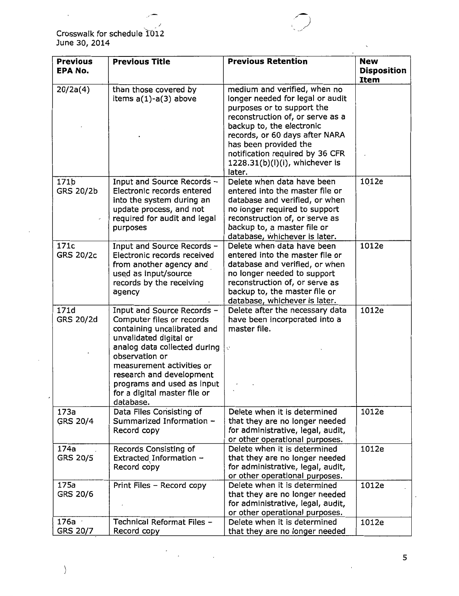$\sim$  -1 Crosswalk for schedule 1012 June 30, 2014

ï

| <b>Previous</b><br><b>EPA No.</b> | <b>Previous Title</b>                                                                                                                                                                                                                                                                                  | <b>Previous Retention</b>                                                                                                                                                                                                                                                                                 | <b>New</b><br><b>Disposition</b> |
|-----------------------------------|--------------------------------------------------------------------------------------------------------------------------------------------------------------------------------------------------------------------------------------------------------------------------------------------------------|-----------------------------------------------------------------------------------------------------------------------------------------------------------------------------------------------------------------------------------------------------------------------------------------------------------|----------------------------------|
|                                   |                                                                                                                                                                                                                                                                                                        |                                                                                                                                                                                                                                                                                                           | Item                             |
| 20/2a(4)                          | than those covered by<br>items a(1)-a(3) above                                                                                                                                                                                                                                                         | medium and verified, when no<br>longer needed for legal or audit<br>purposes or to support the<br>reconstruction of, or serve as a<br>backup to, the electronic<br>records, or 60 days after NARA<br>has been provided the<br>notification required by 36 CFR<br>1228.31(b)(l)(i), whichever is<br>later. |                                  |
| 171b<br>GRS 20/2b                 | Input and Source Records -<br>Electronic records entered<br>into the system during an<br>update process, and not<br>required for audit and legal<br>purposes                                                                                                                                           | Delete when data have been<br>entered into the master file or<br>database and verified, or when<br>no longer required to support<br>reconstruction of, or serve as<br>backup to, a master file or<br>database, whichever is later.                                                                        | 1012e                            |
| 171c<br><b>GRS 20/2c</b>          | Input and Source Records -<br>Electronic records received<br>from another agency and<br>used as input/source<br>records by the receiving<br>agency                                                                                                                                                     | Delete when data have been<br>entered into the master file or<br>database and verified, or when<br>no longer needed to support<br>reconstruction of, or serve as<br>backup to, the master file or<br>database, whichever is later.                                                                        | 1012e                            |
| 171d<br>GRS 20/2d                 | Input and Source Records -<br>Computer files or records<br>containing uncalibrated and<br>unvalidated digital or<br>analog data collected during<br>observation or<br>measurement activities or<br>research and development<br>programs and used as input<br>for a digital master file or<br>database. | Delete after the necessary data<br>have been incorporated into a<br>master file.<br>C,                                                                                                                                                                                                                    | 1012e                            |
| 173a<br>GRS 20/4                  | Data Files Consisting of<br>Summarized Information -<br>Record copy                                                                                                                                                                                                                                    | Delete when it is determined<br>that they are no longer needed<br>for administrative, legal, audit,<br>or other operational purposes.                                                                                                                                                                     | 1012e                            |
| 174a<br>GRS 20/5                  | Records Consisting of<br>Extracted Information -<br>Record copy                                                                                                                                                                                                                                        | Delete when it is determined<br>that they are no longer needed<br>for administrative, legal, audit,<br>or other operational purposes.                                                                                                                                                                     | 1012e                            |
| 175a<br>GRS 20/6                  | Print Files - Record copy                                                                                                                                                                                                                                                                              | Delete when it is determined<br>that they are no longer needed<br>for administrative, legal, audit,<br>or other operational purposes.                                                                                                                                                                     | 1012e                            |
| 176a<br>GRS 20/7                  | Technical Reformat Files -<br>Record copy                                                                                                                                                                                                                                                              | Delete when it is determined<br>that they are no longer needed                                                                                                                                                                                                                                            | 1012e                            |

 $\cdot$ 

 $\left\langle \right\rangle$ 

 $\mathcal{L}(\mathcal{L})$  and  $\mathcal{L}(\mathcal{L})$ 

 $\overline{\phantom{a}}$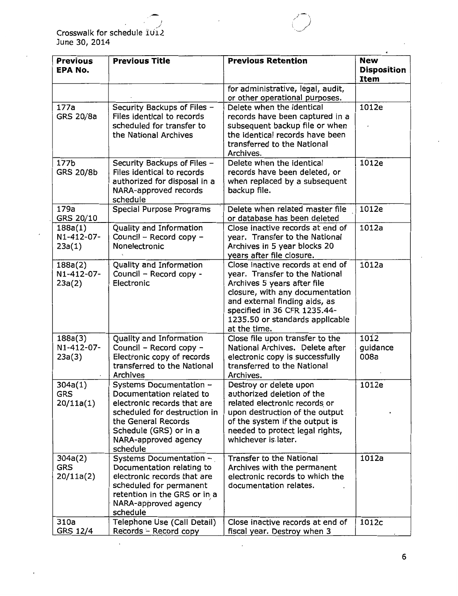I \_/ Crosswalk for schedule 1012 June 30, 2014

| <b>Previous</b><br><b>EPA No.</b>  | <b>Previous Title</b>                                                                                                                                                                                   | <b>Previous Retention</b>                                                                                                                                                                                                                                | <b>New</b><br><b>Disposition</b><br><b>Item</b> |
|------------------------------------|---------------------------------------------------------------------------------------------------------------------------------------------------------------------------------------------------------|----------------------------------------------------------------------------------------------------------------------------------------------------------------------------------------------------------------------------------------------------------|-------------------------------------------------|
|                                    |                                                                                                                                                                                                         | for administrative, legal, audit,<br>or other operational purposes.                                                                                                                                                                                      |                                                 |
| 177a<br><b>GRS 20/8a</b>           | Security Backups of Files -<br>Files identical to records<br>scheduled for transfer to<br>the National Archives                                                                                         | Delete when the identical<br>records have been captured in a<br>subsequent backup file or when<br>the identical records have been<br>transferred to the National<br>Archives.                                                                            | 1012e                                           |
| 177b<br><b>GRS 20/8b</b>           | Security Backups of Files -<br>Files identical to records<br>authorized for disposal in a<br>NARA-approved records<br>schedule                                                                          | Delete when the identical<br>records have been deleted, or<br>when replaced by a subsequent<br>backup file.                                                                                                                                              | 1012e                                           |
| 179a<br>GRS 20/10                  | Special Purpose Programs                                                                                                                                                                                | Delete when related master file<br>or database has been deleted                                                                                                                                                                                          | 1012e                                           |
| 188a(1)<br>N1-412-07-<br>23a(1)    | Quality and Information<br>Council - Record copy -<br>Nonelectronic                                                                                                                                     | Close inactive records at end of<br>year. Transfer to the National<br>Archives in 5 year blocks 20<br>years after file closure.                                                                                                                          | 1012a                                           |
| 188a(2)<br>N1-412-07-<br>23a(2)    | Quality and Information<br>Council - Record copy -<br>Electronic                                                                                                                                        | Close inactive records at end of<br>year. Transfer to the National<br>Archives 5 years after file<br>closure, with any documentation<br>and external finding aids, as<br>specified in 36 CFR 1235.44-<br>1235.50 or standards applicable<br>at the time. | 1012a                                           |
| 188a(3)<br>N1-412-07-<br>23a(3)    | Quality and Information<br>Council - Record copy -<br>Electronic copy of records<br>transferred to the National<br>Archives                                                                             | Close file upon transfer to the<br>National Archives. Delete after<br>electronic copy is successfully<br>transferred to the National<br>Archives.                                                                                                        | 1012<br>guidance<br>008a                        |
| 304a(1)<br>GRS<br>20/11a(1)        | Systems Documentation -<br>Documentation related to<br>electronic records that are<br>scheduled for destruction in<br>the General Records<br>Schedule (GRS) or in a<br>NARA-approved agency<br>schedule | Destroy or delete upon<br>authorized deletion of the<br>related electronic records or<br>upon destruction of the output<br>of the system if the output is<br>needed to protect legal rights,<br>whichever is later.                                      | 1012e                                           |
| 304a(2)<br><b>GRS</b><br>20/11a(2) | Systems Documentation -<br>Documentation relating to<br>electronic records that are<br>scheduled for permanent<br>retention in the GRS or in a<br>NARA-approved agency<br>schedule                      | Transfer to the National<br>Archives with the permanent<br>electronic records to which the<br>documentation relates.                                                                                                                                     | 1012a                                           |
| 310a<br>GRS 12/4                   | Telephone Use (Call Detail)<br>Records - Record copy                                                                                                                                                    | Close inactive records at end of<br>fiscal year. Destroy when 3                                                                                                                                                                                          | 1012c                                           |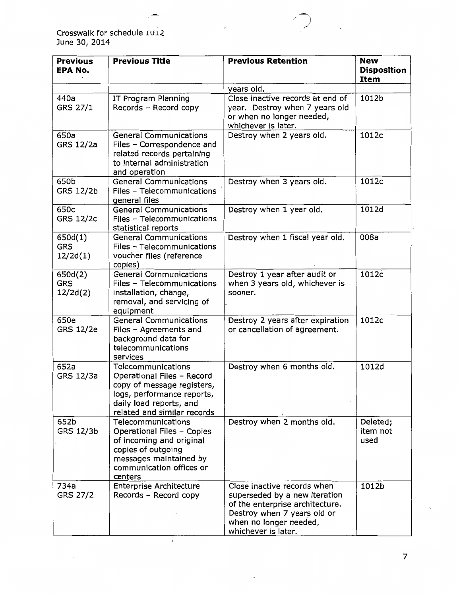Crosswalk for schedule 1012 June 30, 2014

 $\hat{\mathcal{L}}$ 

| <b>Previous</b><br><b>EPA No.</b> | <b>Previous Title</b>                                                                                                                                                  | <b>Previous Retention</b>                                                                                                                                                       | <b>New</b><br><b>Disposition</b><br>Item |
|-----------------------------------|------------------------------------------------------------------------------------------------------------------------------------------------------------------------|---------------------------------------------------------------------------------------------------------------------------------------------------------------------------------|------------------------------------------|
|                                   |                                                                                                                                                                        | years old.                                                                                                                                                                      |                                          |
| 440a<br>GRS 27/1                  | IT Program Planning<br>Records - Record copy                                                                                                                           | Close inactive records at end of<br>year. Destroy when 7 years old<br>or when no longer needed,<br>whichever is later.                                                          | 1012b                                    |
| 650a<br>GRS 12/2a                 | <b>General Communications</b><br>Files - Correspondence and<br>related records pertaining<br>to internal administration<br>and operation                               | Destroy when 2 years old.                                                                                                                                                       | 1012c                                    |
| 650b<br>GRS 12/2b                 | <b>General Communications</b><br>Files - Telecommunications<br>general files                                                                                           | Destroy when 3 years old.                                                                                                                                                       | 1012c                                    |
| 650c<br><b>GRS 12/2c</b>          | <b>General Communications</b><br>Files - Telecommunications<br>statistical reports                                                                                     | Destroy when 1 year old.                                                                                                                                                        | 1012d                                    |
| 650d(1)<br><b>GRS</b><br>12/2d(1) | <b>General Communications</b><br>Files - Telecommunications<br>voucher files (reference<br>copies)                                                                     | Destroy when 1 fiscal year old.                                                                                                                                                 | 008a                                     |
| 650d(2)<br><b>GRS</b><br>12/2d(2) | <b>General Communications</b><br>Files - Telecommunications<br>installation, change,<br>removal, and servicing of<br>equipment                                         | Destroy 1 year after audit or<br>when 3 years old, whichever is<br>sooner.                                                                                                      | 1012c                                    |
| 650e<br>GRS 12/2e                 | <b>General Communications</b><br>Files - Agreements and<br>background data for<br>telecommunications<br>services                                                       | Destroy 2 years after expiration<br>or cancellation of agreement.                                                                                                               | 1012c                                    |
| 652a<br>GRS 12/3a                 | Telecommunications<br>Operational Files - Record<br>copy of message registers,<br>logs, performance reports,<br>daily load reports, and<br>related and similar records | Destroy when 6 months old.                                                                                                                                                      | 1012d                                    |
| 652b<br>GRS 12/3b                 | Telecommunications<br>Operational Files - Copies<br>of incoming and original<br>copies of outgoing<br>messages maintained by<br>communication offices or<br>centers    | Destroy when 2 months old.                                                                                                                                                      | Deleted;<br>item not<br>used             |
| 734a<br>GRS 27/2                  | <b>Enterprise Architecture</b><br>Records - Record copy                                                                                                                | Close inactive records when<br>superseded by a new iteration<br>of the enterprise architecture.<br>Destroy when 7 years old or<br>when no longer needed,<br>whichever is later. | 1012b                                    |

 $\ddot{\phantom{a}}$